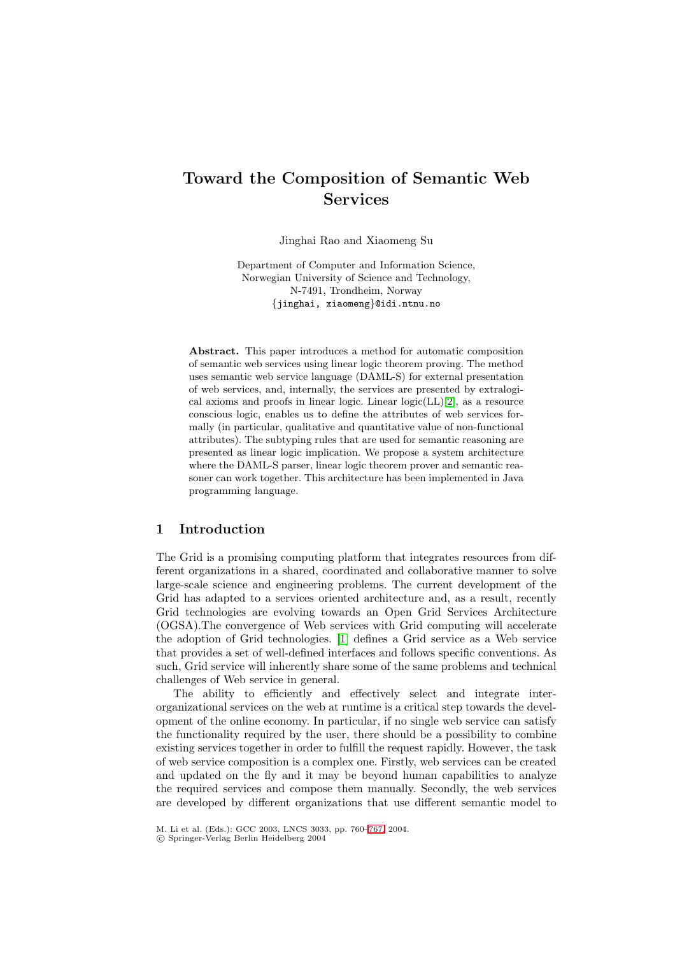# **Toward the Composition of Semantic Web Services**

Jinghai Rao and Xiaomeng Su

Department of Computer and Information Science, Norwegian University of Science and Technology, N-7491, Trondheim, Norway {jinghai, xiaomeng}@idi.ntnu.no

**Abstract.** This paper introduces a method for automatic composition of semantic web services using linear logic theorem proving. The method uses semantic web service language (DAML-S) for external presentation of web services, and, internally, the services are presented by extralogical axioms and proofs in linear logic. Linear logic $(LL)[2]$  $(LL)[2]$ , as a resource conscious logic, enables us to define the attributes of web services formally (in particular, qualitative and quantitative value of non-functional attributes). The subtyping rules that are used for semantic reasoning are presented as linear logic implication. We propose a system architecture where the DAML-S parser, linear logic theorem prover and semantic reasoner can work together. This architecture has been implemented in Java programming language.

# **1 Introduction**

The Grid is a promising computing platform that integrates resources from different organizations in a shared, coordinated and collaborative manner to solve large-scale science and engineering problems. The current development of the Grid has adapted to a services oriented architecture and, as a result, recently Grid technologies are evolving towards an Open Grid Services Architecture (OGSA).The convergence of Web services with Grid computing will accelerate the adoption of Grid technologies. [\[1\]](#page-7-0) defines a Grid service as a Web service that provides a set of well-defined interfaces and follows specific conventions. As such, Grid service will inherently share some of the same problems and technical challenges of Web service in general.

The ability to efficiently and effectively select and integrate interorganizational services on the web at runtime is a critical step towards the development of the online economy. In particular, if no single web service can satisfy the functionality required by the user, there should be a possibility to combine existing services together in order to fulfill the request rapidly. However, the task of web service composition is a complex one. Firstly, web services can be created and updated on the fly and it may be beyond human capabilities to analyze the required services and compose them manually. Secondly, the web services are developed by different organizations that use different semantic model to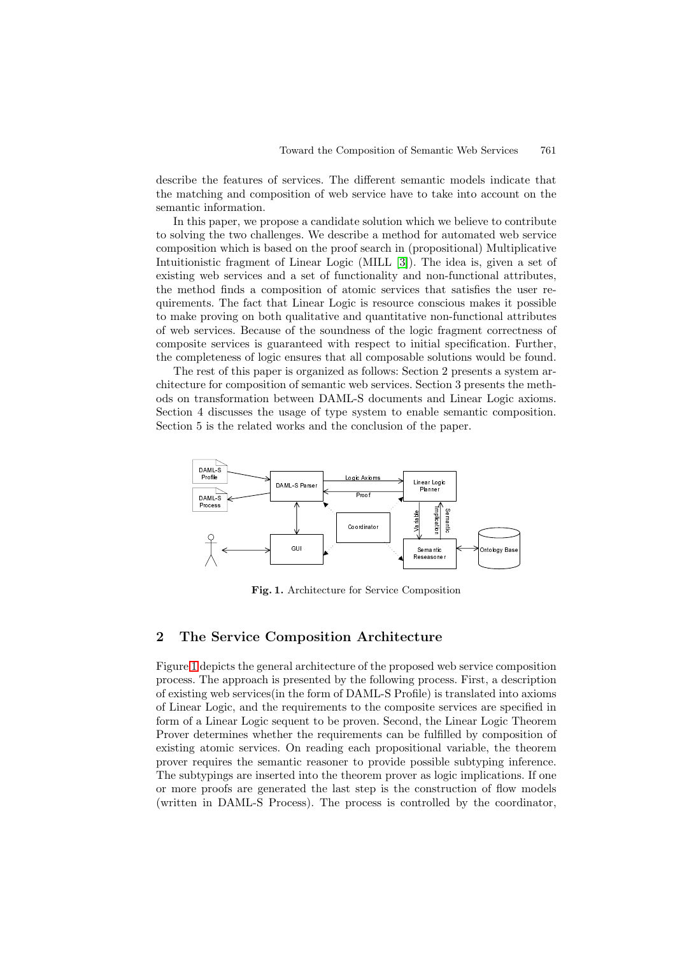describe the features of services. The different semantic models indicate that the matching and composition of web service have to take into account on the semantic information.

In this paper, we propose a candidate solution which we believe to contribute to solving the two challenges. We describe a method for automated web service composition which is based on the proof search in (propositional) Multiplicative Intuitionistic fragment of Linear Logic (MILL [\[3\]](#page-7-0)). The idea is, given a set of existing web services and a set of functionality and non-functional attributes, the method finds a composition of atomic services that satisfies the user requirements. The fact that Linear Logic is resource conscious makes it possible to make proving on both qualitative and quantitative non-functional attributes of web services. Because of the soundness of the logic fragment correctness of composite services is guaranteed with respect to initial specification. Further, the completeness of logic ensures that all composable solutions would be found.

The rest of this paper is organized as follows: Section 2 presents a system architecture for composition of semantic web services. Section 3 presents the methods on transformation between DAML-S documents and Linear Logic axioms. Section 4 discusses the usage of type system to enable semantic composition. Section 5 is the related works and the conclusion of the paper.



**Fig. 1.** Architecture for Service Composition

# **2 The Service Composition Architecture**

Figure 1 depicts the general architecture of the proposed web service composition process. The approach is presented by the following process. First, a description of existing web services(in the form of DAML-S Profile) is translated into axioms of Linear Logic, and the requirements to the composite services are specified in form of a Linear Logic sequent to be proven. Second, the Linear Logic Theorem Prover determines whether the requirements can be fulfilled by composition of existing atomic services. On reading each propositional variable, the theorem prover requires the semantic reasoner to provide possible subtyping inference. The subtypings are inserted into the theorem prover as logic implications. If one or more proofs are generated the last step is the construction of flow models (written in DAML-S Process). The process is controlled by the coordinator,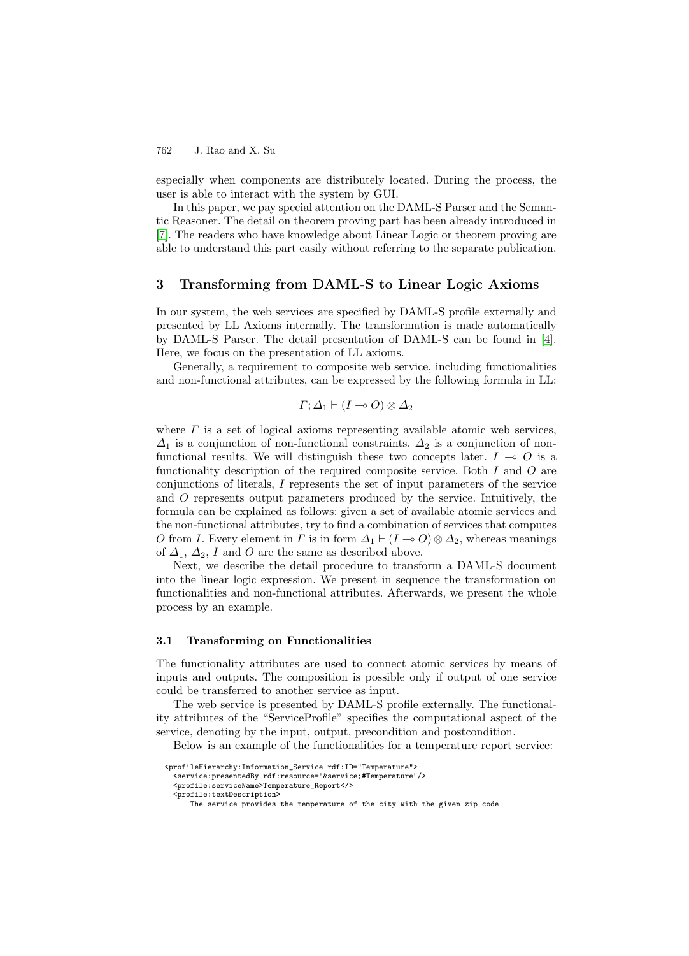especially when components are distributely located. During the process, the user is able to interact with the system by GUI.

In this paper, we pay special attention on the DAML-S Parser and the Semantic Reasoner. The detail on theorem proving part has been already introduced in [\[7\]](#page-7-0). The readers who have knowledge about Linear Logic or theorem proving are able to understand this part easily without referring to the separate publication.

# **3 Transforming from DAML-S to Linear Logic Axioms**

In our system, the web services are specified by DAML-S profile externally and presented by LL Axioms internally. The transformation is made automatically by DAML-S Parser. The detail presentation of DAML-S can be found in [\[4\]](#page-7-0). Here, we focus on the presentation of LL axioms.

Generally, a requirement to composite web service, including functionalities and non-functional attributes, can be expressed by the following formula in LL:

$$
\Gamma;\Delta_1 \vdash (I \multimap O) \otimes \Delta_2
$$

where  $\Gamma$  is a set of logical axioms representing available atomic web services,  $\Delta_1$  is a conjunction of non-functional constraints.  $\Delta_2$  is a conjunction of nonfunctional results. We will distinguish these two concepts later.  $I \multimap O$  is a functionality description of the required composite service. Both I and O are conjunctions of literals, I represents the set of input parameters of the service and O represents output parameters produced by the service. Intuitively, the formula can be explained as follows: given a set of available atomic services and the non-functional attributes, try to find a combination of services that computes O from I. Every element in  $\Gamma$  is in form  $\Delta_1 \vdash (I \multimap O) \otimes \Delta_2$ , whereas meanings of  $\Delta_1$ ,  $\Delta_2$ , I and O are the same as described above.

Next, we describe the detail procedure to transform a DAML-S document into the linear logic expression. We present in sequence the transformation on functionalities and non-functional attributes. Afterwards, we present the whole process by an example.

### **3.1 Transforming on Functionalities**

The functionality attributes are used to connect atomic services by means of inputs and outputs. The composition is possible only if output of one service could be transferred to another service as input.

The web service is presented by DAML-S profile externally. The functionality attributes of the "ServiceProfile" specifies the computational aspect of the service, denoting by the input, output, precondition and postcondition.

Below is an example of the functionalities for a temperature report service:

```
<profileHierarchy:Information_Service rdf:ID="Temperature">
  <service:presentedBy rdf:resource="&service;#Temperature"/>
  <profile:serviceName>Temperature_Report</>
  <profile:textDescription>
     The service provides the temperature of the city with the given zip code
```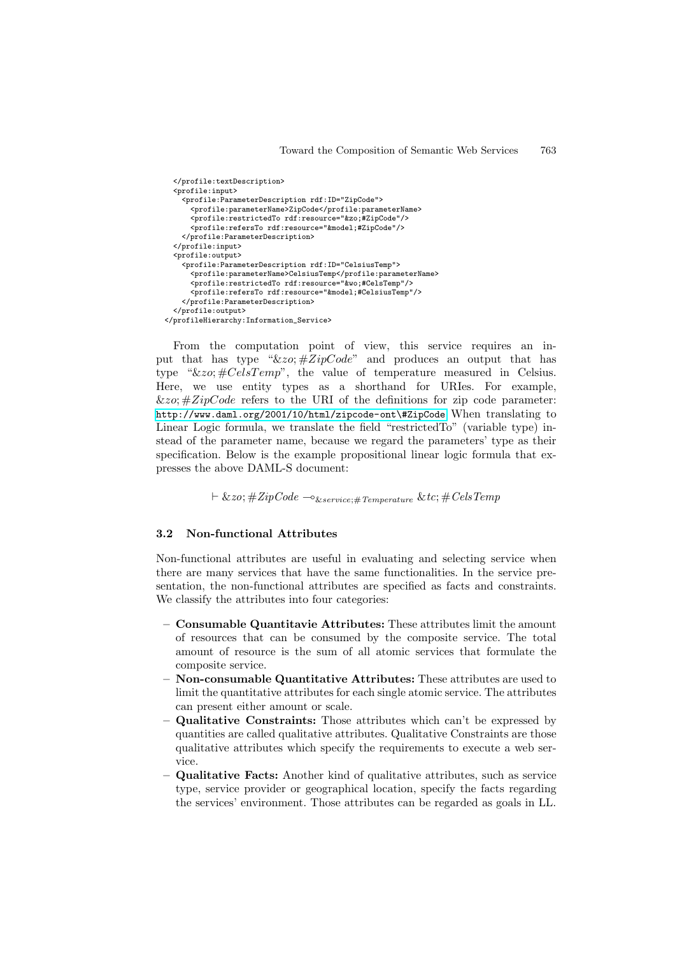```
</profile:textDescription>
  <profile:input>
    <profile:ParameterDescription rdf:ID="ZipCode">
     <profile:parameterName>ZipCode</profile:parameterName>
      <profile:restrictedTo rdf:resource="&zo;#ZipCode"/>
     <profile:refersTo rdf:resource="&model;#ZipCode"/>
    </profile:ParameterDescription>
  </profile:input>
  <profile:output>
    <profile:ParameterDescription rdf:ID="CelsiusTemp">
      <profile:parameterName>CelsiusTemp</profile:parameterName>
     <profile:restrictedTo rdf:resource="&wo;#CelsTemp"/>
      <profile:refersTo rdf:resource="&model;#CelsiusTemp"/>
    </profile:ParameterDescription>
  </profile:output>
</profileHierarchy:Information_Service>
```
From the computation point of view, this service requires an input that has type " $&zo \# ZipCode"$  and produces an output that has type " $\&zo \#CelsTemp"$ , the value of temperature measured in Celsius. Here, we use entity types as a shorthand for URIes. For example,  $&zo \# ZipCode$  refers to the URI of the definitions for zip code parameter: [http://www.daml.org/2001/10/html/zipcode-ont\#ZipCode](http://www.daml.org/2001/10/html/zipcode-ont#ZipCode) When translating to Linear Logic formula, we translate the field "restrictedTo" (variable type) instead of the parameter name, because we regard the parameters' type as their specification. Below is the example propositional linear logic formula that expresses the above DAML-S document:

 $\theta \vdash \&\,zo; \# ZipCode -\circ_{\&\, service; \# Temperature} \&\,te; \#CelsTemp$ 

### **3.2 Non-functional Attributes**

Non-functional attributes are useful in evaluating and selecting service when there are many services that have the same functionalities. In the service presentation, the non-functional attributes are specified as facts and constraints. We classify the attributes into four categories:

- **Consumable Quantitavie Attributes:** These attributes limit the amount of resources that can be consumed by the composite service. The total amount of resource is the sum of all atomic services that formulate the composite service.
- **Non-consumable Quantitative Attributes:** These attributes are used to limit the quantitative attributes for each single atomic service. The attributes can present either amount or scale.
- **Qualitative Constraints:** Those attributes which can't be expressed by quantities are called qualitative attributes. Qualitative Constraints are those qualitative attributes which specify the requirements to execute a web service.
- **Qualitative Facts:** Another kind of qualitative attributes, such as service type, service provider or geographical location, specify the facts regarding the services' environment. Those attributes can be regarded as goals in LL.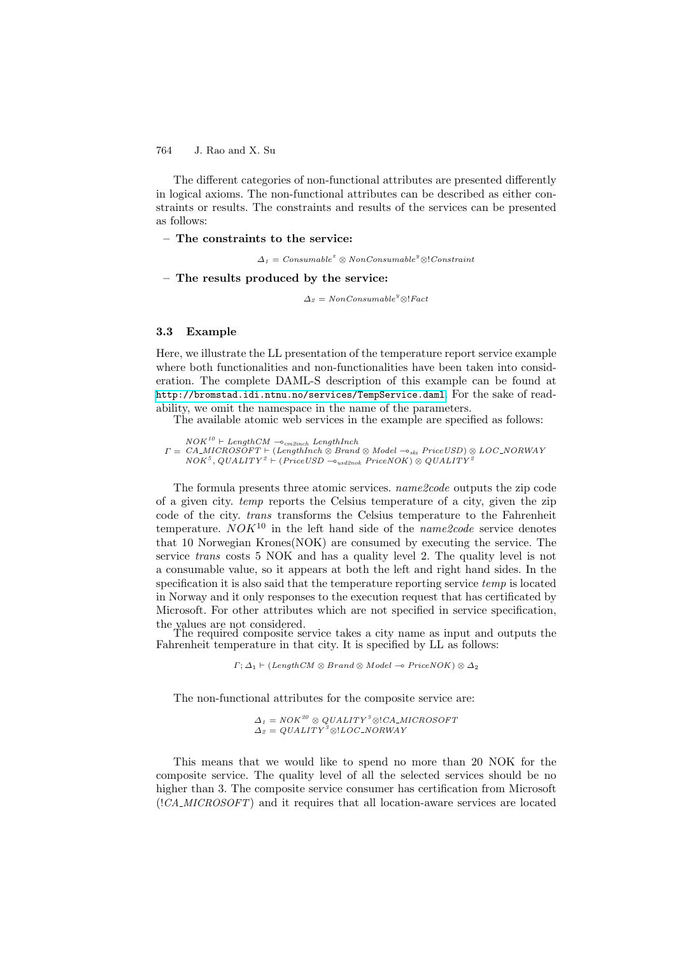The different categories of non-functional attributes are presented differently in logical axioms. The non-functional attributes can be described as either constraints or results. The constraints and results of the services can be presented as follows:

#### **– The constraints to the service:**

 $\Delta_1 = \text{Consumable}^x \otimes \text{NonConsumable}^y \otimes \text{Constraint}$ 

#### **– The results produced by the service:**

 $\Delta_2 = NonConsumable^y \otimes !Fact$ 

#### **3.3 Example**

Here, we illustrate the LL presentation of the temperature report service example where both functionalities and non-functionalities have been taken into consideration. The complete DAML-S description of this example can be found at <http://bromstad.idi.ntnu.no/services/TempService.daml>. For the sake of readability, we omit the namespace in the name of the parameters.

The available atomic web services in the example are specified as follows:

 $\Gamma = CA \text{-} MICROS\overset{\sim}{OF}T \vdash (LengthInch \otimes Brand \otimes Model \rightarrow_{ski} PriceUSD) \otimes LOC \text{-}NORMAY$  $NOK^{10} \vdash LengthCM \multimap_{cm2inch} LengthInch$  $NOK^5$ , QUALITY<sup>2</sup>  $\vdash$  (PriceUSD  $\multimap$ <sub>usd2nok</sub> PriceNOK)  $\otimes$  QUALITY<sup>2</sup>

The formula presents three atomic services. *name2code* outputs the zip code of a given city. *temp* reports the Celsius temperature of a city, given the zip code of the city. *trans* transforms the Celsius temperature to the Fahrenheit temperature.  $NOK^{10}$  in the left hand side of the  $name2code$  service denotes that 10 Norwegian Krones(NOK) are consumed by executing the service. The service *trans* costs 5 NOK and has a quality level 2. The quality level is not a consumable value, so it appears at both the left and right hand sides. In the specification it is also said that the temperature reporting service *temp* is located in Norway and it only responses to the execution request that has certificated by Microsoft. For other attributes which are not specified in service specification, the values are not considered.

The required composite service takes a city name as input and outputs the Fahrenheit temperature in that city. It is specified by LL as follows:

$$
\varGamma;\varDelta_1\vdash (\mathit{LengthCM}\otimes \mathit{Brand}\otimes \mathit{Model}\multimap \mathit{PriceNOK})\otimes \varDelta_2
$$

The non-functional attributes for the composite service are:

$$
\Delta_1 = NOK^{20} \otimes QUALITY^3 \otimes !CA\_MICROSOFT
$$
  

$$
\Delta_2 = QUALITY^3 \otimes !LOC\_NORMAY
$$

This means that we would like to spend no more than 20 NOK for the composite service. The quality level of all the selected services should be no higher than 3. The composite service consumer has certification from Microsoft (!CA MICROSOFT) and it requires that all location-aware services are located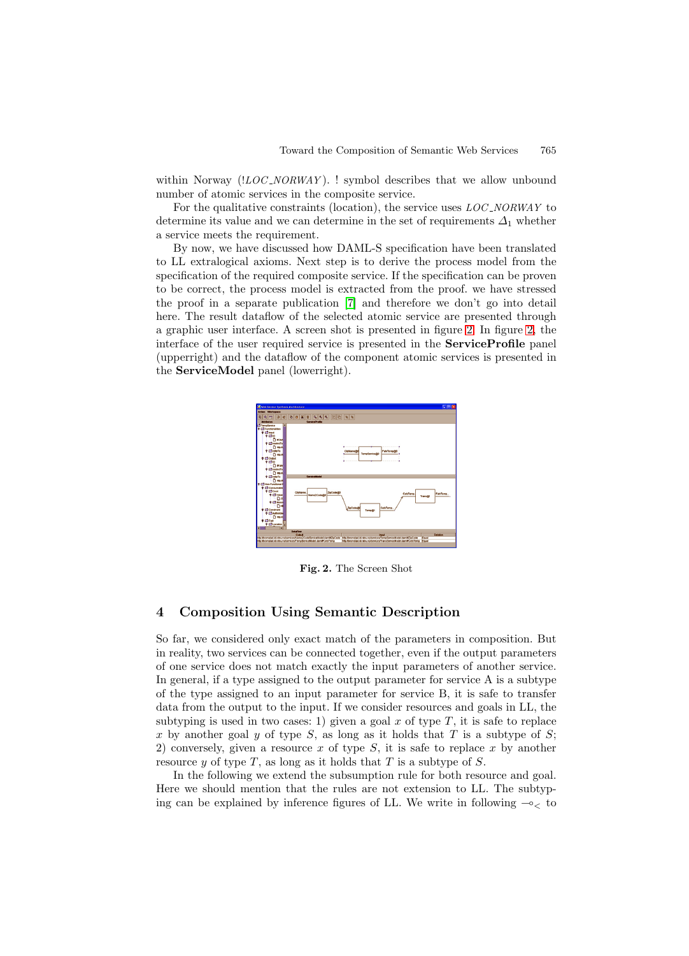within Norway  $(LOC_NORWAY)$ . ! symbol describes that we allow unbound number of atomic services in the composite service.

For the qualitative constraints (location), the service uses  $LOC_NORWAY$  to determine its value and we can determine in the set of requirements  $\Delta_1$  whether a service meets the requirement.

By now, we have discussed how DAML-S specification have been translated to LL extralogical axioms. Next step is to derive the process model from the specification of the required composite service. If the specification can be proven to be correct, the process model is extracted from the proof. we have stressed the proof in a separate publication [\[7\]](#page-7-0) and therefore we don't go into detail here. The result dataflow of the selected atomic service are presented through a graphic user interface. A screen shot is presented in figure 2. In figure 2, the interface of the user required service is presented in the **ServiceProfile** panel (upperright) and the dataflow of the component atomic services is presented in the **ServiceModel** panel (lowerright).



**Fig. 2.** The Screen Shot

# **4 Composition Using Semantic Description**

So far, we considered only exact match of the parameters in composition. But in reality, two services can be connected together, even if the output parameters of one service does not match exactly the input parameters of another service. In general, if a type assigned to the output parameter for service A is a subtype of the type assigned to an input parameter for service B, it is safe to transfer data from the output to the input. If we consider resources and goals in LL, the subtyping is used in two cases: 1) given a goal x of type  $T$ , it is safe to replace x by another goal y of type  $S$ , as long as it holds that  $T$  is a subtype of  $S$ ; 2) conversely, given a resource x of type  $S$ , it is safe to replace x by another resource y of type  $T$ , as long as it holds that  $T$  is a subtype of  $S$ .

In the following we extend the subsumption rule for both resource and goal. Here we should mention that the rules are not extension to LL. The subtyping can be explained by inference figures of LL. We write in following  $-\infty$  to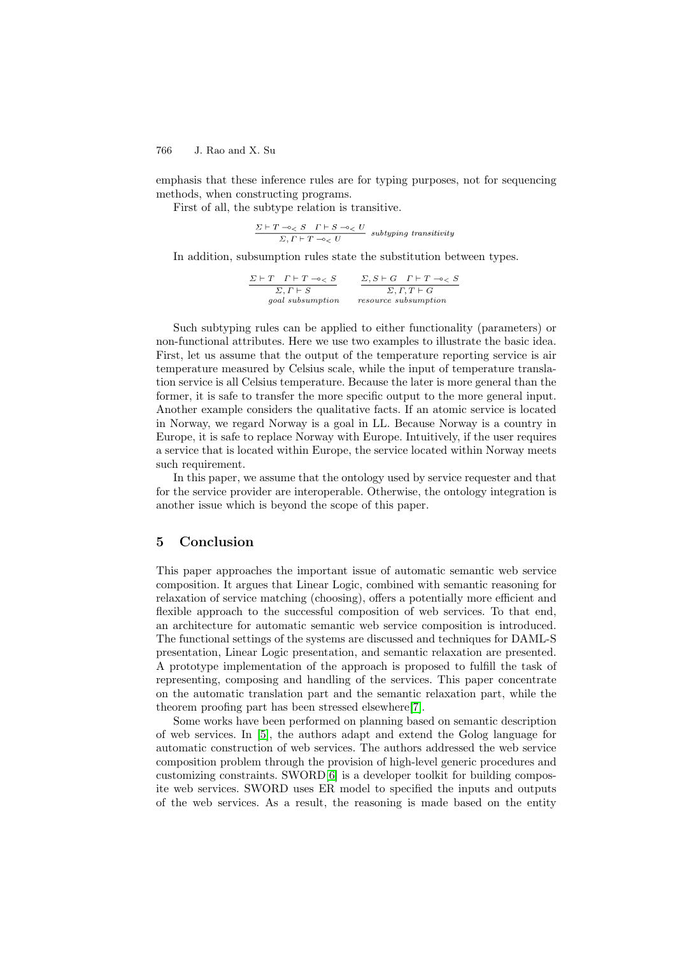<span id="page-6-0"></span>emphasis that these inference rules are for typing purposes, not for sequencing methods, when constructing programs.

First of all, the subtype relation is transitive.

$$
\frac{\Sigma \vdash T \multimap_{&} S \quad \Gamma \vdash S \multimap_{&} U}{\Sigma, \Gamma \vdash T \multimap_{&} U} \text{ subtyping transitivity}
$$

In addition, subsumption rules state the substitution between types.

$$
\begin{array}{ccc}\Sigma\vdash T & \Gamma\vdash T\multimap_{<}S\\ \hline\Sigma,\Gamma\vdash S & & \Sigma,S\vdash G& \Gamma\vdash T\multimap_{<}S\\ \hline goal\ subsum,\Gamma,\Gamma\vdash G & & \\ \hline \end{array}
$$

Such subtyping rules can be applied to either functionality (parameters) or non-functional attributes. Here we use two examples to illustrate the basic idea. First, let us assume that the output of the temperature reporting service is air temperature measured by Celsius scale, while the input of temperature translation service is all Celsius temperature. Because the later is more general than the former, it is safe to transfer the more specific output to the more general input. Another example considers the qualitative facts. If an atomic service is located in Norway, we regard Norway is a goal in LL. Because Norway is a country in Europe, it is safe to replace Norway with Europe. Intuitively, if the user requires a service that is located within Europe, the service located within Norway meets such requirement.

In this paper, we assume that the ontology used by service requester and that for the service provider are interoperable. Otherwise, the ontology integration is another issue which is beyond the scope of this paper.

### **5 Conclusion**

This paper approaches the important issue of automatic semantic web service composition. It argues that Linear Logic, combined with semantic reasoning for relaxation of service matching (choosing), offers a potentially more efficient and flexible approach to the successful composition of web services. To that end, an architecture for automatic semantic web service composition is introduced. The functional settings of the systems are discussed and techniques for DAML-S presentation, Linear Logic presentation, and semantic relaxation are presented. A prototype implementation of the approach is proposed to fulfill the task of representing, composing and handling of the services. This paper concentrate on the automatic translation part and the semantic relaxation part, while the theorem proofing part has been stressed elsewhere[\[7\]](#page-7-0).

Some works have been performed on planning based on semantic description of web services. In [\[5\]](#page-7-0), the authors adapt and extend the Golog language for automatic construction of web services. The authors addressed the web service composition problem through the provision of high-level generic procedures and customizing constraints. SWORD[\[6\]](#page-7-0) is a developer toolkit for building composite web services. SWORD uses ER model to specified the inputs and outputs of the web services. As a result, the reasoning is made based on the entity